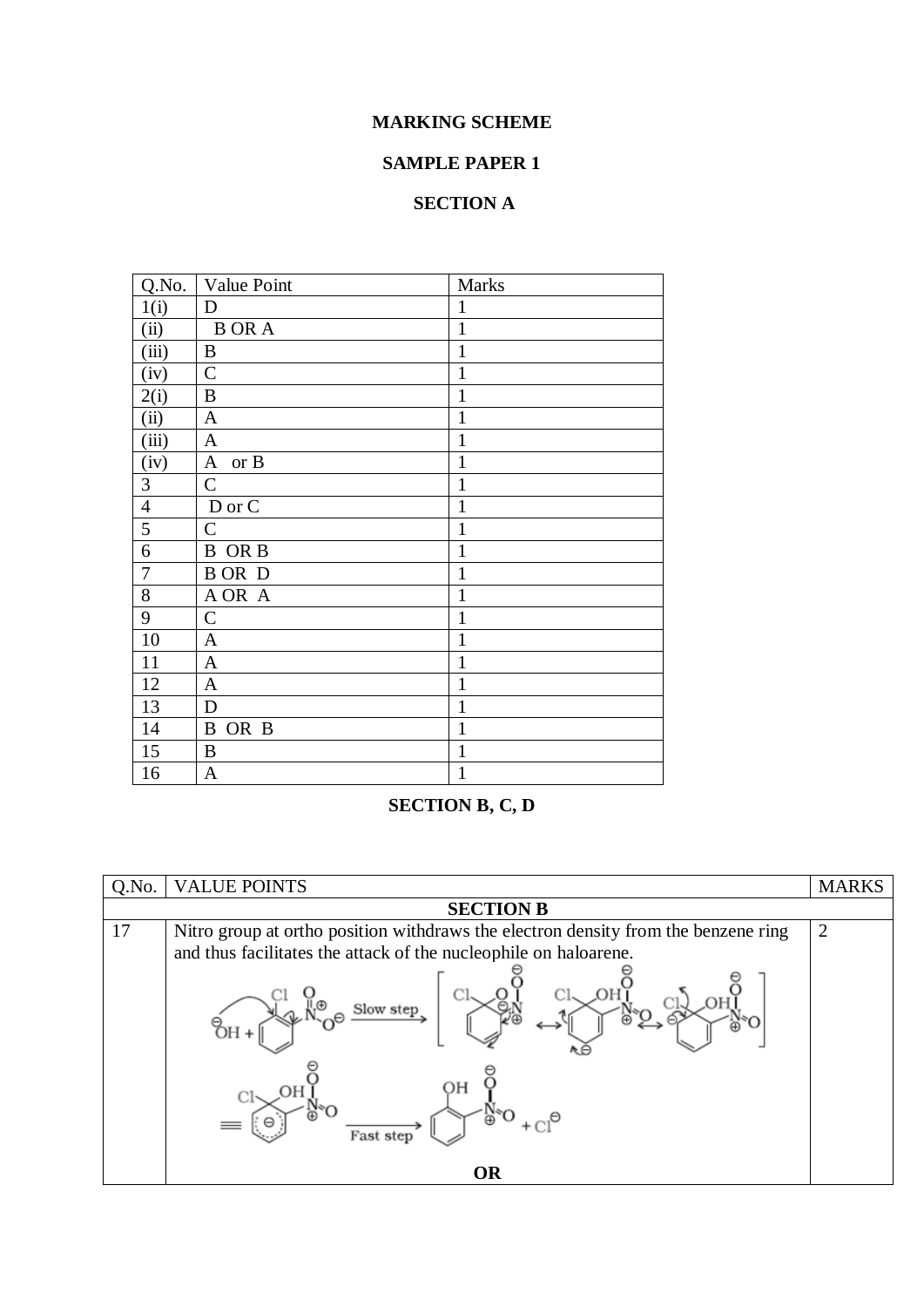## **MARKING SCHEME**

## **SAMPLE PAPER 1**

## **SECTION A**

| Q.No.                   | Value Point          | Marks        |
|-------------------------|----------------------|--------------|
| 1(i)                    | D                    | 1            |
| (ii)                    | <b>BORA</b>          | $\mathbf{1}$ |
| (iii)                   | B                    | $\mathbf{1}$ |
| (iv)                    | $\mathbf C$          | $\mathbf{1}$ |
| 2(i)                    | B                    | $\mathbf{1}$ |
| (ii)                    | $\mathbf{A}$         | 1            |
| (iii)                   | $\mathbf{A}$         | 1            |
| (iv)                    | $\mathbf{A}$<br>or B | $\mathbf{1}$ |
| $\overline{\mathbf{3}}$ | $\mathcal{C}$        | 1            |
| $\overline{4}$          | D or C               | 1            |
| 5                       | $\mathbf C$          | 1            |
| 6                       | <b>B</b> OR B        | 1            |
| $\overline{7}$          | B OR D               | 1            |
| 8                       | A OR A               | 1            |
| $\mathbf{9}$            | $\mathcal{C}$        | 1            |
| 10                      | A                    | 1            |
| 11                      | $\mathbf{A}$         | 1            |
| 12                      | $\mathbf{A}$         | 1            |
| 13                      | D                    | 1            |
| 14                      | B<br>OR B            | 1            |
| 15                      | B                    | $\mathbf{1}$ |
| 16                      | $\mathbf{A}$         | $\mathbf{1}$ |

## **SECTION B, C, D**

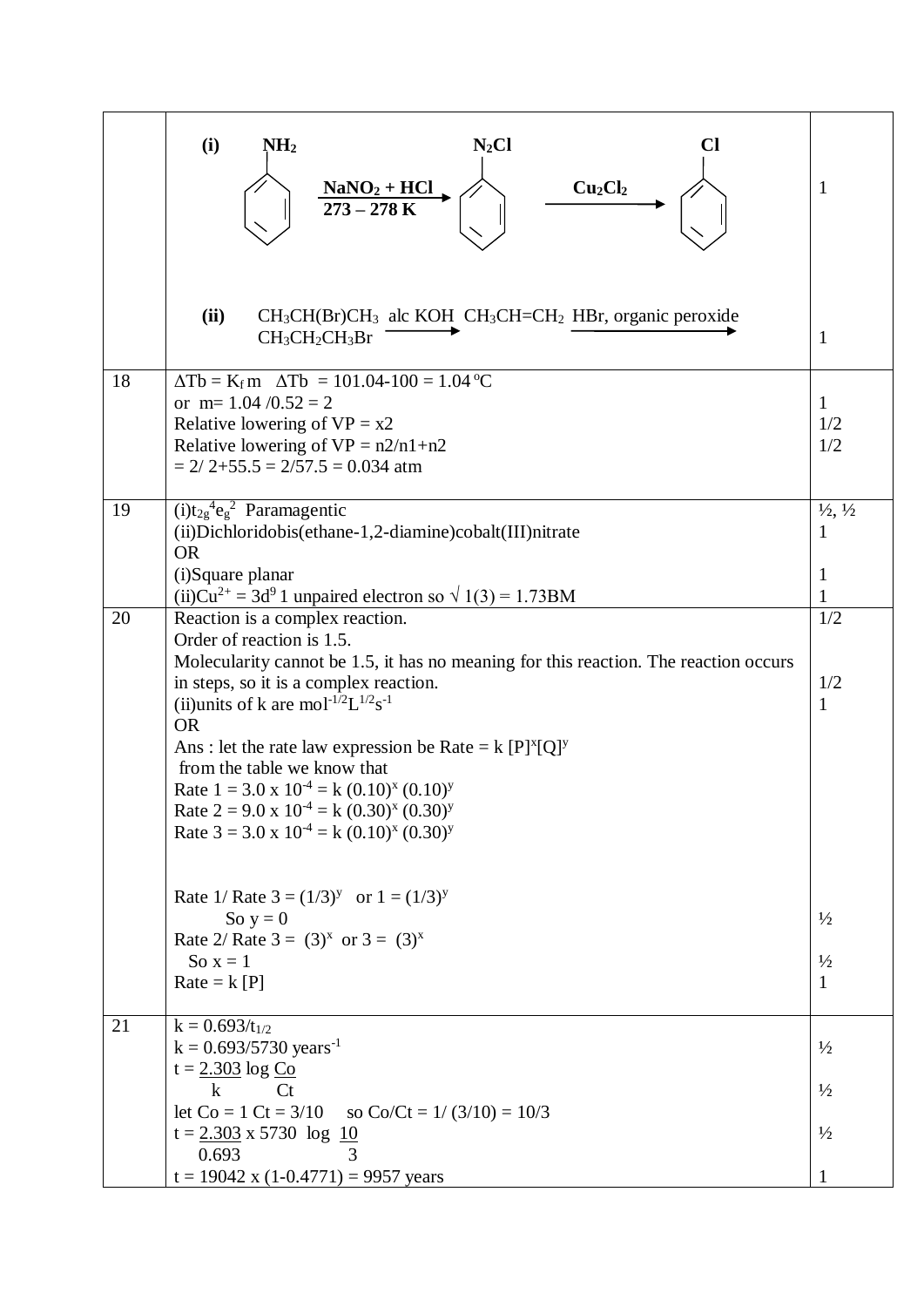| $\mathbf{1}$                                           | (i)<br>NH <sub>2</sub><br>$N_2Cl$<br>Cl<br>Cu <sub>2</sub> Cl <sub>2</sub><br>$\frac{NaNO_2 + HCl}{273 - 278 K}$                                                                                                                                                                                                                                                                                                                                                                                                                                                           |
|--------------------------------------------------------|----------------------------------------------------------------------------------------------------------------------------------------------------------------------------------------------------------------------------------------------------------------------------------------------------------------------------------------------------------------------------------------------------------------------------------------------------------------------------------------------------------------------------------------------------------------------------|
| $\mathbf{1}$                                           | (ii)<br>$CH_3CH(Br)CH_3$ alc KOH $CH_3CH=CH_2$ HBr, organic peroxide<br>$CH3CH2CH3Br$                                                                                                                                                                                                                                                                                                                                                                                                                                                                                      |
| 1<br>1/2<br>1/2                                        | $\Delta$ Tb = K <sub>f</sub> m $\Delta$ Tb = 101.04-100 = 1.04 °C<br>18<br>or m= $1.04 / 0.52 = 2$<br>Relative lowering of $VP = x2$<br>Relative lowering of $VP = n2/n1 + n2$<br>$= 2/2 + 55.5 = 2/57.5 = 0.034$ atm                                                                                                                                                                                                                                                                                                                                                      |
| $\frac{1}{2}$ , $\frac{1}{2}$<br>1<br>$\mathbf 1$<br>1 | $(i)t_{2g}^4e_g^2$ Paramagentic<br>19<br>(ii) Dichloridobis (ethane-1,2-diamine) cobalt (III) nitrate<br><b>OR</b><br>(i)Square planar                                                                                                                                                                                                                                                                                                                                                                                                                                     |
| 1/2<br>1/2<br>$\mathbf{1}$                             | Reaction is a complex reaction.<br>20<br>Order of reaction is 1.5.<br>Molecularity cannot be 1.5, it has no meaning for this reaction. The reaction occurs<br>in steps, so it is a complex reaction.<br>(ii)units of k are mol <sup>-1/2</sup> L <sup>1/2</sup> s <sup>-1</sup><br><b>OR</b><br>Ans: let the rate law expression be Rate = $k [P]^x [Q]^y$<br>from the table we know that<br>Rate $1 = 3.0 \times 10^{-4} = k (0.10)^{x} (0.10)^{y}$<br>Rate $2 = 9.0 \times 10^{-4} = k (0.30)^{x} (0.30)^{y}$<br>Rate $3 = 3.0 \times 10^{-4} = k (0.10)^{x} (0.30)^{y}$ |
| $\frac{1}{2}$<br>$\frac{1}{2}$<br>$\mathbf{1}$         | Rate 1/ Rate $3 = (1/3)^y$ or $1 = (1/3)^y$<br>So $y = 0$<br>Rate 2/ Rate $3 = (3)^x$ or $3 = (3)^x$<br>So $x = 1$<br>$Rate = k [P]$                                                                                                                                                                                                                                                                                                                                                                                                                                       |
| $\frac{1}{2}$<br>$\frac{1}{2}$<br>$\frac{1}{2}$        | 21<br>$k = 0.693/t_{1/2}$<br>$k = 0.693/5730$ years <sup>-1</sup><br>$t = 2.303 \log C_0$<br>$\bf k$<br>Ct<br>let $Co = 1 Ct = 3/10$<br>so Co/Ct = $1/(3/10) = 10/3$<br>$t = 2.303 \times 5730$ log 10<br>0.693<br>3                                                                                                                                                                                                                                                                                                                                                       |
|                                                        | (ii)Cu <sup>2+</sup> = 3d <sup>9</sup> 1 unpaired electron so $\sqrt{1(3)}$ = 1.73BM<br>$t = 19042$ x (1-0.4771) = 9957 years                                                                                                                                                                                                                                                                                                                                                                                                                                              |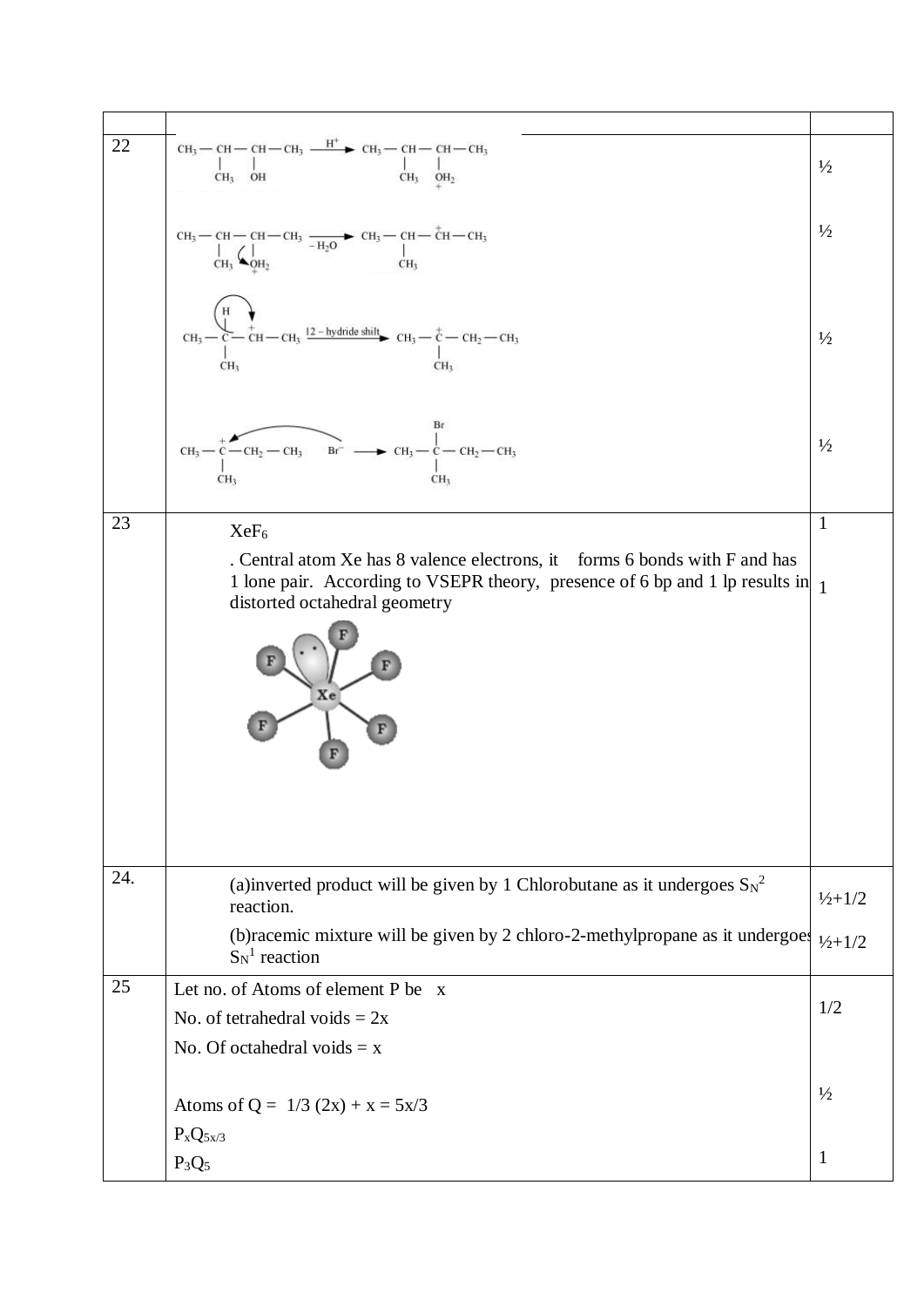| 22  | $\begin{array}{c c} \rm CH_3\!\!-\!\!CH\!\!-\!\!CH\!\!-\!\!CH_3 \xrightarrow{\quad \  \  H^+ \quad } CH_3\!\!-\!\!CH\!\!-\!\!CH\!\!-\!\!CH_3 \\ \begin{array}{c c} \!\! \text{\rm Cl}_3 & \!\! \text{\rm Cl}_3 \end{array} \xrightarrow{\quad \  \  \  \  \, CH_3 \quad \  \  \, CH_3 \quad \  \  \, CH_3 \quad \  \  \, CH_3} \\ \begin{array}{c} \!\! \text{\rm Cl}_3 & \!\! \text{\rm Cl}_3 \end{array} \xrightarrow{\quad \  \  \, \, CH_3 \quad \ $ | $\frac{1}{2}$               |
|-----|----------------------------------------------------------------------------------------------------------------------------------------------------------------------------------------------------------------------------------------------------------------------------------------------------------------------------------------------------------------------------------------------------------------------------------------------------------|-----------------------------|
|     | CH <sub>3</sub> -- CH -- CH -- CH <sub>3</sub> -- H <sub>2</sub> O -- CH <sub>3</sub> -- CH -- CH <sub>3</sub> -- CH <sub>3</sub> -- CH <sub>3</sub> -- CH <sub>3</sub> -- CH <sub>3</sub> CH <sub>3</sub> CH <sub>3</sub>                                                                                                                                                                                                                               | $\frac{1}{2}$               |
|     | CH <sub>3</sub> - C <sup>H</sup> <sub>2</sub> - CH <sub>3</sub> - CH <sub>3</sub> - CH <sub>3</sub> - CH <sub>2</sub> - CH <sub>2</sub> - CH <sub>2</sub> - CH <sub>3</sub> - CH <sub>2</sub> - CH <sub>3</sub> - CH <sub>3</sub> - CH <sub>3</sub> - CH <sub>3</sub> - CH <sub>3</sub>                                                                                                                                                                  | $\frac{1}{2}$               |
|     | Br<br>$-CH_2-CH_3$ Br <sup>-</sup> $\longrightarrow CH_3-CH_2-CH_2$<br>$CH3$ —<br>CH <sub>3</sub><br>CH <sub>3</sub>                                                                                                                                                                                                                                                                                                                                     | $\frac{1}{2}$               |
| 23  | XeF <sub>6</sub>                                                                                                                                                                                                                                                                                                                                                                                                                                         | $\mathbf{1}$                |
|     | . Central atom Xe has 8 valence electrons, it forms 6 bonds with F and has                                                                                                                                                                                                                                                                                                                                                                               |                             |
|     | 1 lone pair. According to VSEPR theory, presence of 6 bp and 1 lp results in 1<br>distorted octahedral geometry                                                                                                                                                                                                                                                                                                                                          |                             |
|     | Xe                                                                                                                                                                                                                                                                                                                                                                                                                                                       |                             |
| 24. | (a)inverted product will be given by 1 Chlorobutane as it undergoes $S_N^2$<br>reaction.                                                                                                                                                                                                                                                                                                                                                                 | $\frac{1}{2} + \frac{1}{2}$ |
|     | (b) racemic mixture will be given by 2 chloro-2-methylpropane as it undergoes $v_{2+1/2}$<br>$S_N^1$ reaction                                                                                                                                                                                                                                                                                                                                            |                             |
| 25  | Let no. of Atoms of element P be x                                                                                                                                                                                                                                                                                                                                                                                                                       |                             |
|     | No. of tetrahedral voids = $2x$                                                                                                                                                                                                                                                                                                                                                                                                                          | 1/2                         |
|     | No. Of octahedral voids $= x$                                                                                                                                                                                                                                                                                                                                                                                                                            |                             |
|     | Atoms of Q = $1/3$ (2x) + x = $5x/3$<br>$P_xQ_{5x/3}$                                                                                                                                                                                                                                                                                                                                                                                                    | $\frac{1}{2}$               |
|     | $P_3Q_5$                                                                                                                                                                                                                                                                                                                                                                                                                                                 | $\mathbf{1}$                |
|     |                                                                                                                                                                                                                                                                                                                                                                                                                                                          |                             |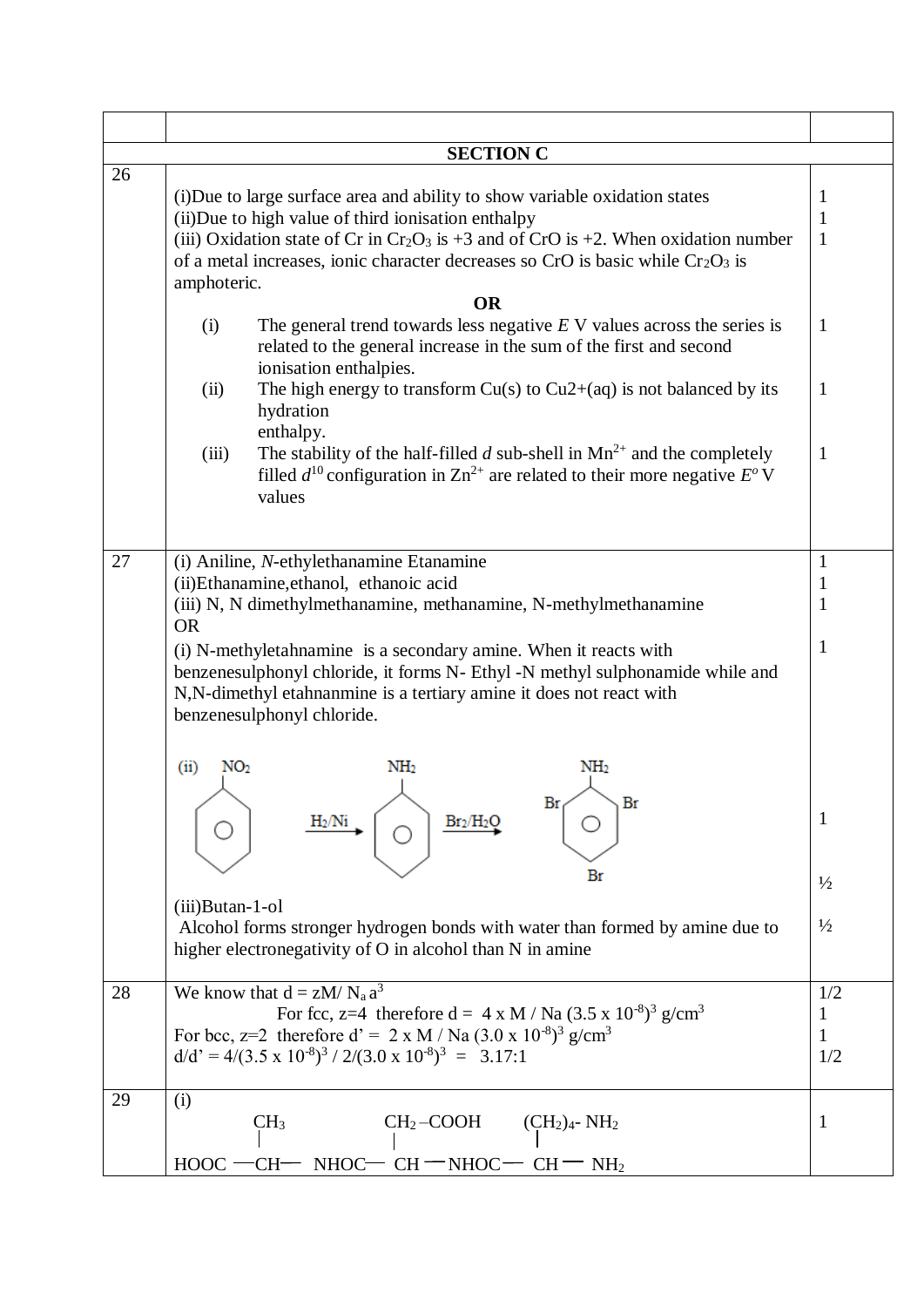|    | <b>SECTION C</b>                                                                                                                                                                                                                                                                                                                  |                   |  |
|----|-----------------------------------------------------------------------------------------------------------------------------------------------------------------------------------------------------------------------------------------------------------------------------------------------------------------------------------|-------------------|--|
| 26 | (i) Due to large surface area and ability to show variable oxidation states<br>(ii) Due to high value of third ionisation enthalpy<br>(iii) Oxidation state of Cr in $Cr_2O_3$ is +3 and of CrO is +2. When oxidation number<br>of a metal increases, ionic character decreases so CrO is basic while $Cr_2O_3$ is<br>amphoteric. | 1<br>1<br>1       |  |
|    | <b>OR</b>                                                                                                                                                                                                                                                                                                                         |                   |  |
|    | The general trend towards less negative $E$ V values across the series is<br>(i)<br>related to the general increase in the sum of the first and second<br>ionisation enthalpies.<br>The high energy to transform $Cu(s)$ to $Cu2+(aq)$ is not balanced by its<br>(ii)                                                             | 1<br>$\mathbf{1}$ |  |
|    | hydration                                                                                                                                                                                                                                                                                                                         |                   |  |
|    | enthalpy.<br>The stability of the half-filled d sub-shell in $Mn^{2+}$ and the completely<br>(iii)<br>filled $d^{10}$ configuration in $\text{Zn}^{2+}$ are related to their more negative $E^{\circ}$ V<br>values                                                                                                                | 1                 |  |
| 27 | (i) Aniline, N-ethylethanamine Etanamine                                                                                                                                                                                                                                                                                          | 1                 |  |
|    | (ii)Ethanamine,ethanol, ethanoic acid                                                                                                                                                                                                                                                                                             | $\mathbf{1}$      |  |
|    | (iii) N, N dimethylmethanamine, methanamine, N-methylmethanamine<br><b>OR</b>                                                                                                                                                                                                                                                     |                   |  |
|    | (i) N-methyletahnamine is a secondary amine. When it reacts with<br>benzenesulphonyl chloride, it forms N- Ethyl -N methyl sulphonamide while and<br>N,N-dimethyl etahnanmine is a tertiary amine it does not react with<br>benzenesulphonyl chloride.                                                                            |                   |  |
|    | NO <sub>2</sub><br>NH <sub>2</sub><br>NH <sub>2</sub><br>(ii)                                                                                                                                                                                                                                                                     |                   |  |
|    | Br<br>Br<br>Br <sub>2</sub> /H <sub>2</sub> O                                                                                                                                                                                                                                                                                     | $\mathbf{1}$      |  |
|    | Br                                                                                                                                                                                                                                                                                                                                | $\frac{1}{2}$     |  |
|    | $(iii)$ Butan-1-ol<br>Alcohol forms stronger hydrogen bonds with water than formed by amine due to<br>higher electronegativity of O in alcohol than N in amine                                                                                                                                                                    | $\frac{1}{2}$     |  |
| 28 | We know that $d = zM/N_a a^3$                                                                                                                                                                                                                                                                                                     | 1/2               |  |
|    | For fcc, z=4 therefore $d = 4 \times M / Na (3.5 \times 10^{-8})^3$ g/cm <sup>3</sup>                                                                                                                                                                                                                                             | 1                 |  |
|    | For bcc, z=2 therefore $d' = 2 x M / Na (3.0 x 10^{-8})^3 g/cm^3$                                                                                                                                                                                                                                                                 | 1                 |  |
|    | $d/d' = 4/(3.5 \times 10^{-8})^3 / 2/(3.0 \times 10^{-8})^3 = 3.17:1$                                                                                                                                                                                                                                                             | 1/2               |  |
| 29 | (i)<br>CH <sub>3</sub><br>$CH2-COOH$<br>$(CH2)4$ - NH <sub>2</sub><br>$HOOC$ —<br>∙CH−<br>$NHOC-CH-MHOC-$<br>$CH = NH2$                                                                                                                                                                                                           | 1                 |  |
|    |                                                                                                                                                                                                                                                                                                                                   |                   |  |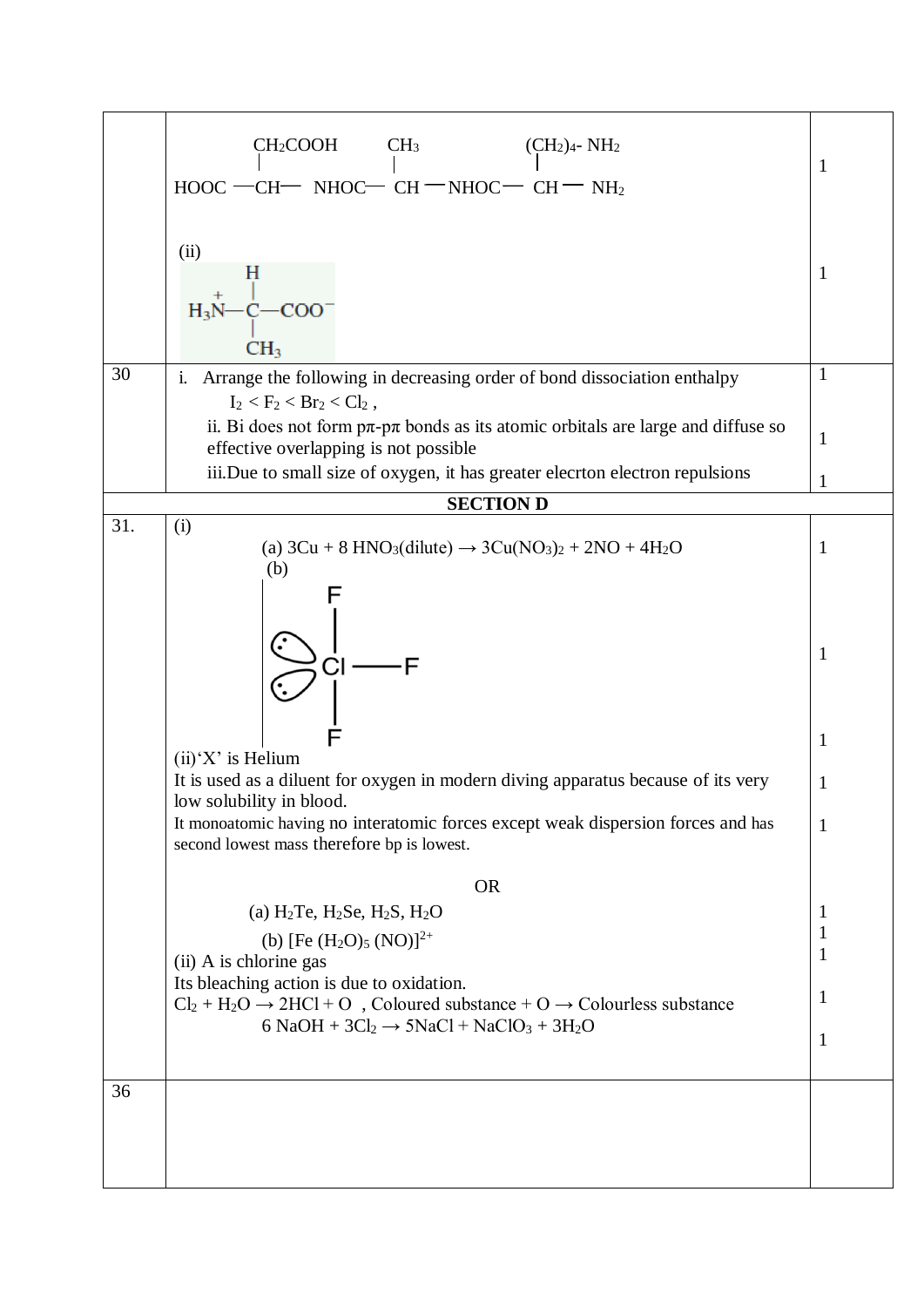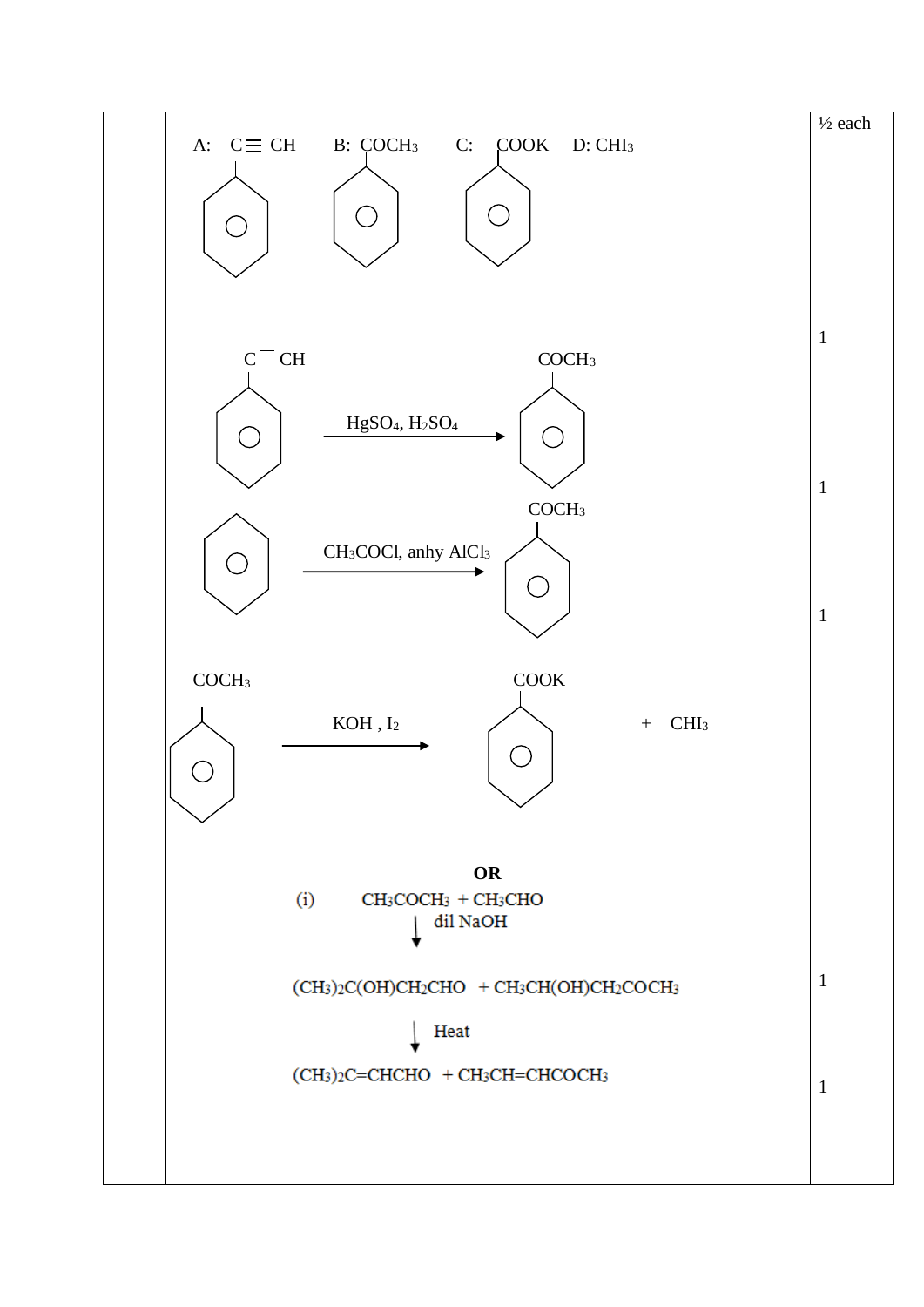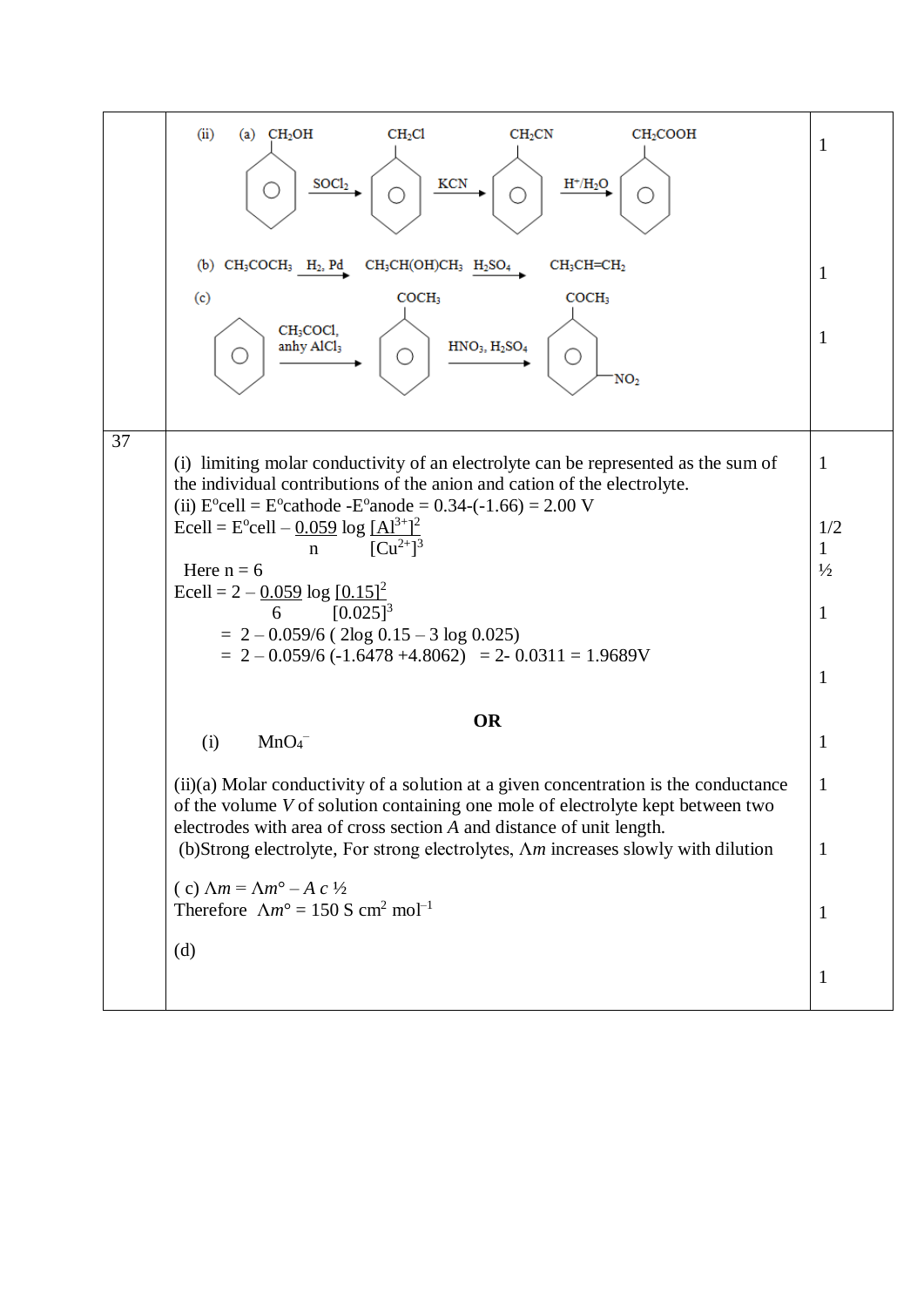